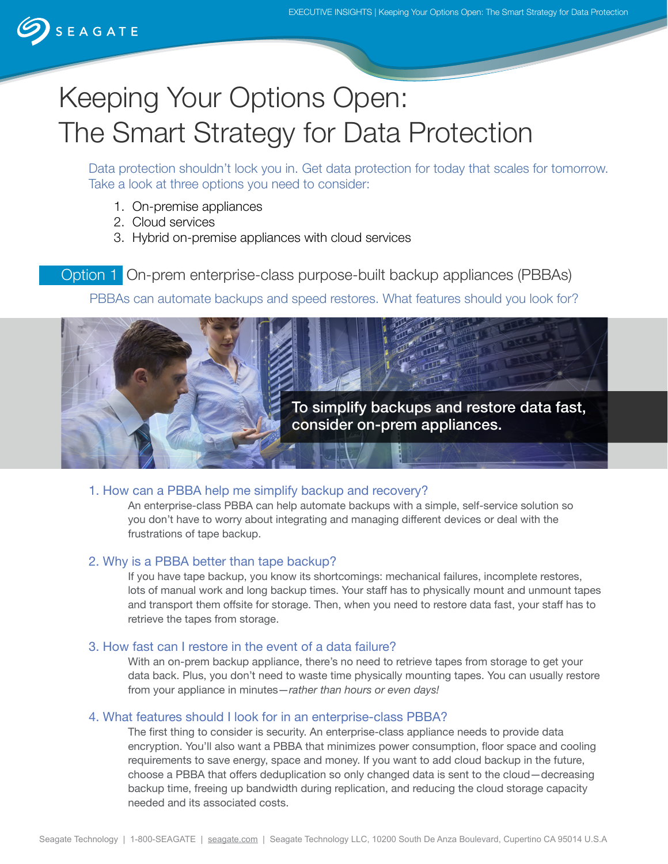

# Keeping Your Options Open: The Smart Strategy for Data Protection

Data protection shouldn't lock you in. Get data protection for today that scales for tomorrow. Take a look at three options you need to consider:

- 1. On-premise appliances
- 2. Cloud services
- 3. Hybrid on-premise appliances with cloud services

Option 1 On-prem enterprise-class purpose-built backup appliances (PBBAs) PBBAs can automate backups and speed restores. What features should you look for?



#### 1. How can a PBBA help me simplify backup and recovery?

An enterprise-class PBBA can help automate backups with a simple, self-service solution so you don't have to worry about integrating and managing different devices or deal with the frustrations of tape backup.

#### 2. Why is a PBBA better than tape backup?

If you have tape backup, you know its shortcomings: mechanical failures, incomplete restores, lots of manual work and long backup times. Your staff has to physically mount and unmount tapes and transport them offsite for storage. Then, when you need to restore data fast, your staff has to retrieve the tapes from storage.

#### 3. How fast can I restore in the event of a data failure?

With an on-prem backup appliance, there's no need to retrieve tapes from storage to get your data back. Plus, you don't need to waste time physically mounting tapes. You can usually restore from your appliance in minutes—*rather than hours or even days!*

#### 4. What features should I look for in an enterprise-class PBBA?

The frst thing to consider is security. An enterprise-class appliance needs to provide data encryption. You'll also want a PBBA that minimizes power consumption, foor space and cooling requirements to save energy, space and money. If you want to add cloud backup in the future, choose a PBBA that offers deduplication so only changed data is sent to the cloud—decreasing backup time, freeing up bandwidth during replication, and reducing the cloud storage capacity needed and its associated costs.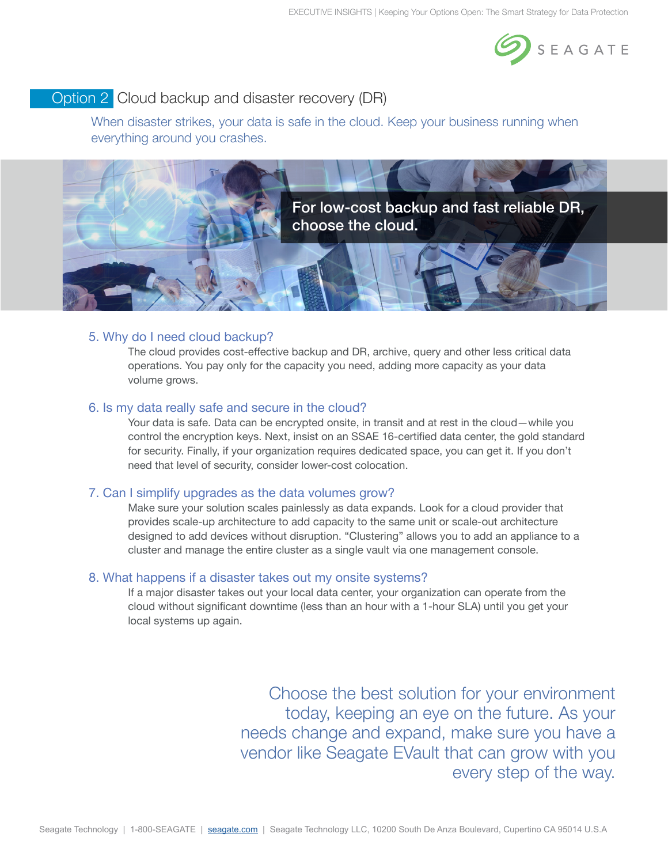

# Option 2 Cloud backup and disaster recovery (DR)

When disaster strikes, your data is safe in the cloud. Keep your business running when everything around you crashes.



#### 5. Why do I need cloud backup?

The cloud provides cost-effective backup and DR, archive, query and other less critical data operations. You pay only for the capacity you need, adding more capacity as your data volume grows.

#### 6. Is my data really safe and secure in the cloud?

Your data is safe. Data can be encrypted onsite, in transit and at rest in the cloud—while you control the encryption keys. Next, insist on an SSAE 16-certifed data center, the gold standard for security. Finally, if your organization requires dedicated space, you can get it. If you don't need that level of security, consider lower-cost colocation.

#### 7. Can I simplify upgrades as the data volumes grow?

Make sure your solution scales painlessly as data expands. Look for a cloud provider that provides scale-up architecture to add capacity to the same unit or scale-out architecture designed to add devices without disruption. "Clustering" allows you to add an appliance to a cluster and manage the entire cluster as a single vault via one management console.

#### 8. What happens if a disaster takes out my onsite systems?

If a major disaster takes out your local data center, your organization can operate from the cloud without signifcant downtime (less than an hour with a 1-hour SLA) until you get your local systems up again.

> Choose the best solution for your environment today, keeping an eye on the future. As your needs change and expand, make sure you have a vendor like Seagate EVault that can grow with you every step of the way.